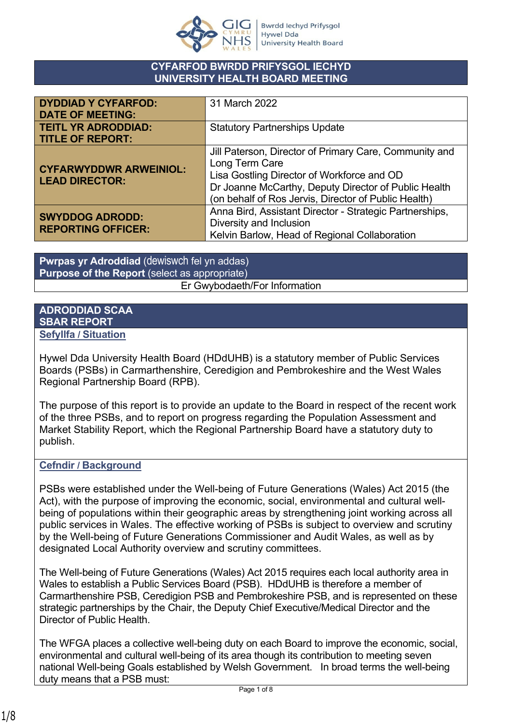

#### **CYFARFOD BWRDD PRIFYSGOL IECHYD UNIVERSITY HEALTH BOARD MEETING**

| <b>DYDDIAD Y CYFARFOD:</b><br><b>DATE OF MEETING:</b>  | 31 March 2022                                                                                                                                                                                                                          |
|--------------------------------------------------------|----------------------------------------------------------------------------------------------------------------------------------------------------------------------------------------------------------------------------------------|
| <b>TEITL YR ADRODDIAD:</b><br><b>TITLE OF REPORT:</b>  | <b>Statutory Partnerships Update</b>                                                                                                                                                                                                   |
| <b>CYFARWYDDWR ARWEINIOL:</b><br><b>LEAD DIRECTOR:</b> | Jill Paterson, Director of Primary Care, Community and<br>Long Term Care<br>Lisa Gostling Director of Workforce and OD<br>Dr Joanne McCarthy, Deputy Director of Public Health<br>(on behalf of Ros Jervis, Director of Public Health) |
| <b>SWYDDOG ADRODD:</b><br><b>REPORTING OFFICER:</b>    | Anna Bird, Assistant Director - Strategic Partnerships,<br>Diversity and Inclusion<br>Kelvin Barlow, Head of Regional Collaboration                                                                                                    |

**Pwrpas yr Adroddiad** (dewiswch fel yn addas) **Purpose of the Report** (select as appropriate) Er Gwybodaeth/For Information

#### **ADRODDIAD SCAA SBAR REPORT Sefyllfa / Situation**

Hywel Dda University Health Board (HDdUHB) is a statutory member of Public Services Boards (PSBs) in Carmarthenshire, Ceredigion and Pembrokeshire and the West Wales Regional Partnership Board (RPB).

The purpose of this report is to provide an update to the Board in respect of the recent work of the three PSBs, and to report on progress regarding the Population Assessment and Market Stability Report, which the Regional Partnership Board have a statutory duty to publish.

# **Cefndir / Background**

PSBs were established under the Well-being of Future Generations (Wales) Act 2015 (the Act), with the purpose of improving the economic, social, environmental and cultural wellbeing of populations within their geographic areas by strengthening joint working across all public services in Wales. The effective working of PSBs is subject to overview and scrutiny by the Well-being of Future Generations Commissioner and Audit Wales, as well as by designated Local Authority overview and scrutiny committees.

The Well-being of Future Generations (Wales) Act 2015 requires each local authority area in Wales to establish a Public Services Board (PSB). HDdUHB is therefore a member of Carmarthenshire PSB, Ceredigion PSB and Pembrokeshire PSB, and is represented on these strategic partnerships by the Chair, the Deputy Chief Executive/Medical Director and the Director of Public Health.

The WFGA places a collective well-being duty on each Board to improve the economic, social, environmental and cultural well-being of its area though its contribution to meeting seven national Well-being Goals established by Welsh Government. In broad terms the well-being duty means that a PSB must: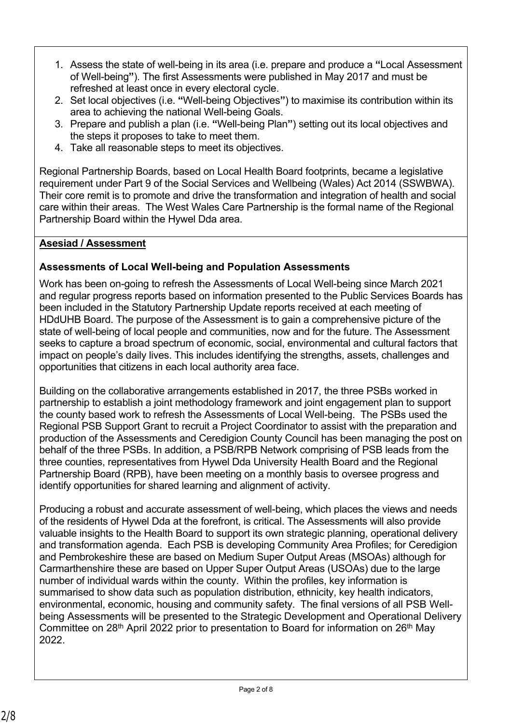- 1. Assess the state of well-being in its area (i.e. prepare and produce a **"**Local Assessment of Well-being**"**). The first Assessments were published in May 2017 and must be refreshed at least once in every electoral cycle.
- 2. Set local objectives (i.e. **"**Well-being Objectives**"**) to maximise its contribution within its area to achieving the national Well-being Goals.
- 3. Prepare and publish a plan (i.e. **"**Well-being Plan**"**) setting out its local objectives and the steps it proposes to take to meet them.
- 4. Take all reasonable steps to meet its objectives.

Regional Partnership Boards, based on Local Health Board footprints, became a legislative requirement under Part 9 of the Social Services and Wellbeing (Wales) Act 2014 (SSWBWA). Their core remit is to promote and drive the transformation and integration of health and social care within their areas. The West Wales Care Partnership is the formal name of the Regional Partnership Board within the Hywel Dda area.

# **Asesiad / Assessment**

# **Assessments of Local Well-being and Population Assessments**

Work has been on-going to refresh the Assessments of Local Well-being since March 2021 and regular progress reports based on information presented to the Public Services Boards has been included in the Statutory Partnership Update reports received at each meeting of HDdUHB Board. The purpose of the Assessment is to gain a comprehensive picture of the state of well-being of local people and communities, now and for the future. The Assessment seeks to capture a broad spectrum of economic, social, environmental and cultural factors that impact on people's daily lives. This includes identifying the strengths, assets, challenges and opportunities that citizens in each local authority area face.

Building on the collaborative arrangements established in 2017, the three PSBs worked in partnership to establish a joint methodology framework and joint engagement plan to support the county based work to refresh the Assessments of Local Well-being. The PSBs used the Regional PSB Support Grant to recruit a Project Coordinator to assist with the preparation and production of the Assessments and Ceredigion County Council has been managing the post on behalf of the three PSBs. In addition, a PSB/RPB Network comprising of PSB leads from the three counties, representatives from Hywel Dda University Health Board and the Regional Partnership Board (RPB), have been meeting on a monthly basis to oversee progress and identify opportunities for shared learning and alignment of activity.

Producing a robust and accurate assessment of well-being, which places the views and needs of the residents of Hywel Dda at the forefront, is critical. The Assessments will also provide valuable insights to the Health Board to support its own strategic planning, operational delivery and transformation agenda. Each PSB is developing Community Area Profiles; for Ceredigion and Pembrokeshire these are based on Medium Super Output Areas (MSOAs) although for Carmarthenshire these are based on Upper Super Output Areas (USOAs) due to the large number of individual wards within the county. Within the profiles, key information is summarised to show data such as population distribution, ethnicity, key health indicators, environmental, economic, housing and community safety. The final versions of all PSB Wellbeing Assessments will be presented to the Strategic Development and Operational Delivery Committee on 28<sup>th</sup> April 2022 prior to presentation to Board for information on 26<sup>th</sup> May 2022.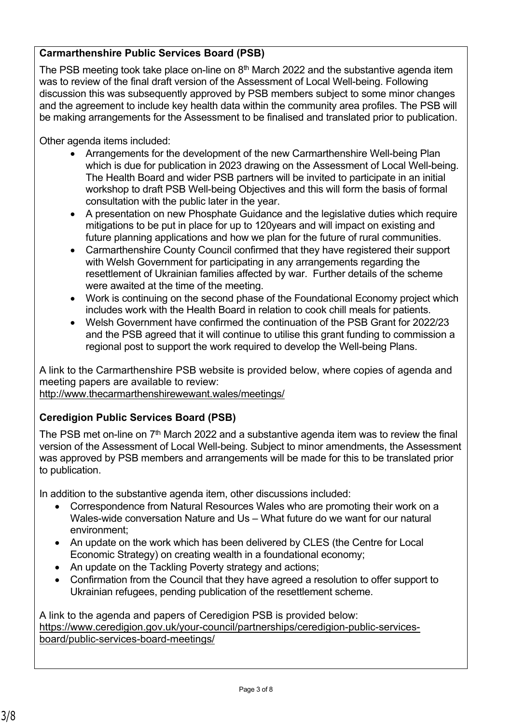# **Carmarthenshire Public Services Board (PSB)**

The PSB meeting took take place on-line on  $8<sup>th</sup>$  March 2022 and the substantive agenda item was to review of the final draft version of the Assessment of Local Well-being. Following discussion this was subsequently approved by PSB members subject to some minor changes and the agreement to include key health data within the community area profiles. The PSB will be making arrangements for the Assessment to be finalised and translated prior to publication.

Other agenda items included:

- Arrangements for the development of the new Carmarthenshire Well-being Plan which is due for publication in 2023 drawing on the Assessment of Local Well-being. The Health Board and wider PSB partners will be invited to participate in an initial workshop to draft PSB Well-being Objectives and this will form the basis of formal consultation with the public later in the year.
- A presentation on new Phosphate Guidance and the legislative duties which require mitigations to be put in place for up to 120years and will impact on existing and future planning applications and how we plan for the future of rural communities.
- Carmarthenshire County Council confirmed that they have registered their support with Welsh Government for participating in any arrangements regarding the resettlement of Ukrainian families affected by war. Further details of the scheme were awaited at the time of the meeting.
- Work is continuing on the second phase of the Foundational Economy project which includes work with the Health Board in relation to cook chill meals for patients.
- Welsh Government have confirmed the continuation of the PSB Grant for 2022/23 and the PSB agreed that it will continue to utilise this grant funding to commission a regional post to support the work required to develop the Well-being Plans.

A link to the Carmarthenshire PSB website is provided below, where copies of agenda and meeting papers are available to review: <http://www.thecarmarthenshirewewant.wales/meetings/>

### **Ceredigion Public Services Board (PSB)**

The PSB met on-line on 7<sup>th</sup> March 2022 and a substantive agenda item was to review the final version of the Assessment of Local Well-being. Subject to minor amendments, the Assessment was approved by PSB members and arrangements will be made for this to be translated prior to publication.

In addition to the substantive agenda item, other discussions included:

- Correspondence from Natural Resources Wales who are promoting their work on a Wales-wide conversation Nature and Us – What future do we want for our natural environment;
- An update on the work which has been delivered by CLES (the Centre for Local Economic Strategy) on creating wealth in a foundational economy;
- An update on the Tackling Poverty strategy and actions;
- Confirmation from the Council that they have agreed a resolution to offer support to Ukrainian refugees, pending publication of the resettlement scheme.

A link to the agenda and papers of Ceredigion PSB is provided below: [https://www.ceredigion.gov.uk/your-council/partnerships/ceredigion-public-services](https://www.ceredigion.gov.uk/your-council/partnerships/ceredigion-public-services-board/public-services-board-meetings/)[board/public-services-board-meetings/](https://www.ceredigion.gov.uk/your-council/partnerships/ceredigion-public-services-board/public-services-board-meetings/)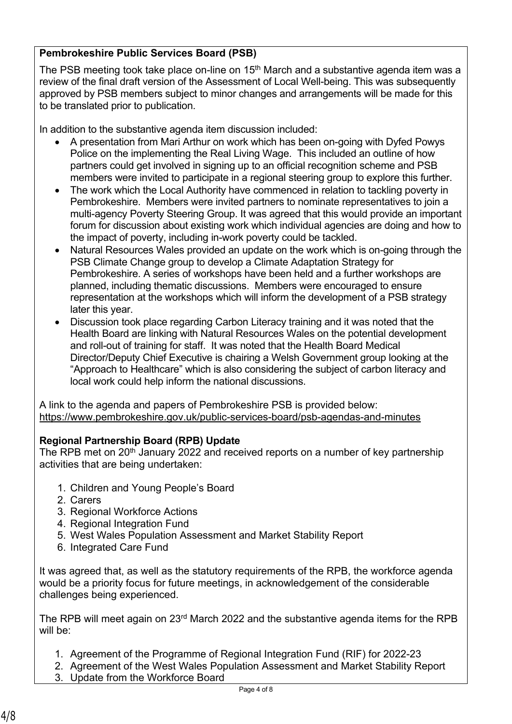# **Pembrokeshire Public Services Board (PSB)**

The PSB meeting took take place on-line on 15<sup>th</sup> March and a substantive agenda item was a review of the final draft version of the Assessment of Local Well-being. This was subsequently approved by PSB members subject to minor changes and arrangements will be made for this to be translated prior to publication.

In addition to the substantive agenda item discussion included:

- A presentation from Mari Arthur on work which has been on-going with Dyfed Powys Police on the implementing the Real Living Wage. This included an outline of how partners could get involved in signing up to an official recognition scheme and PSB members were invited to participate in a regional steering group to explore this further.
- The work which the Local Authority have commenced in relation to tackling poverty in Pembrokeshire. Members were invited partners to nominate representatives to join a multi-agency Poverty Steering Group. It was agreed that this would provide an important forum for discussion about existing work which individual agencies are doing and how to the impact of poverty, including in-work poverty could be tackled.
- Natural Resources Wales provided an update on the work which is on-going through the PSB Climate Change group to develop a Climate Adaptation Strategy for Pembrokeshire. A series of workshops have been held and a further workshops are planned, including thematic discussions. Members were encouraged to ensure representation at the workshops which will inform the development of a PSB strategy later this year.
- Discussion took place regarding Carbon Literacy training and it was noted that the Health Board are linking with Natural Resources Wales on the potential development and roll-out of training for staff. It was noted that the Health Board Medical Director/Deputy Chief Executive is chairing a Welsh Government group looking at the "Approach to Healthcare" which is also considering the subject of carbon literacy and local work could help inform the national discussions.

A link to the agenda and papers of Pembrokeshire PSB is provided below: <https://www.pembrokeshire.gov.uk/public-services-board/psb-agendas-and-minutes>

### **Regional Partnership Board (RPB) Update**

The RPB met on 20<sup>th</sup> January 2022 and received reports on a number of key partnership activities that are being undertaken:

- 1. Children and Young People's Board
- 2. Carers
- 3. Regional Workforce Actions
- 4. Regional Integration Fund
- 5. West Wales Population Assessment and Market Stability Report
- 6. Integrated Care Fund

It was agreed that, as well as the statutory requirements of the RPB, the workforce agenda would be a priority focus for future meetings, in acknowledgement of the considerable challenges being experienced.

The RPB will meet again on 23<sup>rd</sup> March 2022 and the substantive agenda items for the RPB will be:

- 1. Agreement of the Programme of Regional Integration Fund (RIF) for 2022-23
- 2. Agreement of the West Wales Population Assessment and Market Stability Report 3. Update from the Workforce Board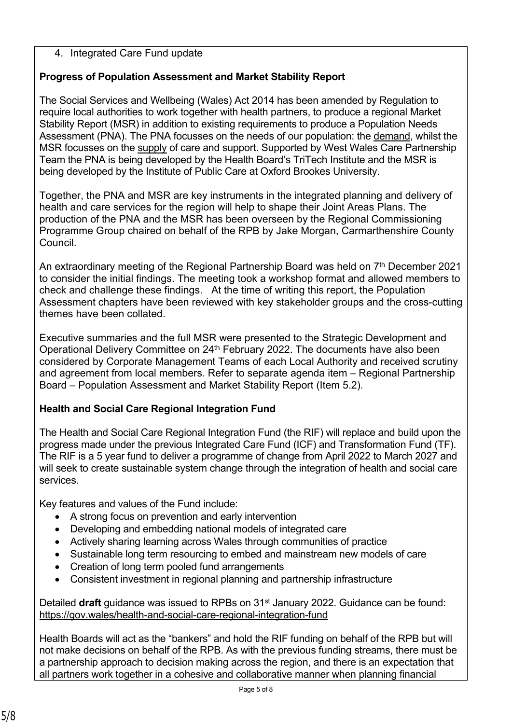## 4. Integrated Care Fund update

# **Progress of Population Assessment and Market Stability Report**

The Social Services and Wellbeing (Wales) Act 2014 has been amended by Regulation to require local authorities to work together with health partners, to produce a regional Market Stability Report (MSR) in addition to existing requirements to produce a Population Needs Assessment (PNA). The PNA focusses on the needs of our population: the demand, whilst the MSR focusses on the supply of care and support. Supported by West Wales Care Partnership Team the PNA is being developed by the Health Board's TriTech Institute and the MSR is being developed by the Institute of Public Care at Oxford Brookes University.

Together, the PNA and MSR are key instruments in the integrated planning and delivery of health and care services for the region will help to shape their Joint Areas Plans. The production of the PNA and the MSR has been overseen by the Regional Commissioning Programme Group chaired on behalf of the RPB by Jake Morgan, Carmarthenshire County Council.

An extraordinary meeting of the Regional Partnership Board was held on  $7<sup>th</sup>$  December 2021 to consider the initial findings. The meeting took a workshop format and allowed members to check and challenge these findings. At the time of writing this report, the Population Assessment chapters have been reviewed with key stakeholder groups and the cross-cutting themes have been collated.

Executive summaries and the full MSR were presented to the Strategic Development and Operational Delivery Committee on 24<sup>th</sup> February 2022. The documents have also been considered by Corporate Management Teams of each Local Authority and received scrutiny and agreement from local members. Refer to separate agenda item – Regional Partnership Board – Population Assessment and Market Stability Report (Item 5.2).

# **Health and Social Care Regional Integration Fund**

The Health and Social Care Regional Integration Fund (the RIF) will replace and build upon the progress made under the previous Integrated Care Fund (ICF) and Transformation Fund (TF). The RIF is a 5 year fund to deliver a programme of change from April 2022 to March 2027 and will seek to create sustainable system change through the integration of health and social care services.

Key features and values of the Fund include:

- A strong focus on prevention and early intervention
- Developing and embedding national models of integrated care
- Actively sharing learning across Wales through communities of practice
- Sustainable long term resourcing to embed and mainstream new models of care
- Creation of long term pooled fund arrangements
- Consistent investment in regional planning and partnership infrastructure

Detailed **draft** guidance was issued to RPBs on 31st January 2022. Guidance can be found: [https://gov.wales/health-and-social-care-regional-integration-fund](https://eur01.safelinks.protection.outlook.com/?url=https://gov.wales/health-and-social-care-regional-integration-fund&data=04%7C01%7CKelvinBarlow@carmarthenshire.gov.uk%7Cea45e1fb1dd14f15e2b908d9f6b1b7f7%7C319baa9a8e8b4d1e86aef76a403f1c84%7C1%7C0%7C637812065419438291%7CUnknown%7CTWFpbGZsb3d8eyJWIjoiMC4wLjAwMDAiLCJQIjoiV2luMzIiLCJBTiI6Ik1haWwiLCJXVCI6Mn0=%7C3000&sdata=gRGvfbJ4oM3tB83TREiXmXrUqY3B+8sO7ExKde6mwGI=&reserved=0)

Health Boards will act as the "bankers" and hold the RIF funding on behalf of the RPB but will not make decisions on behalf of the RPB. As with the previous funding streams, there must be a partnership approach to decision making across the region, and there is an expectation that all partners work together in a cohesive and collaborative manner when planning financial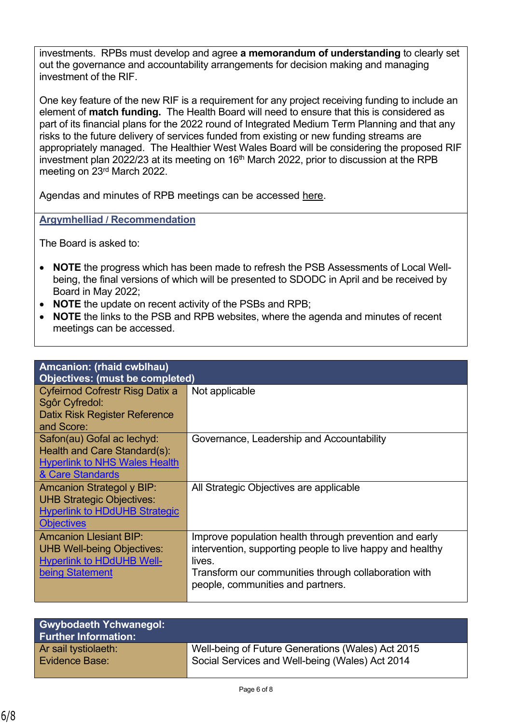investments. RPBs must develop and agree **a memorandum of understanding** to clearly set out the governance and accountability arrangements for decision making and managing investment of the RIF.

One key feature of the new RIF is a requirement for any project receiving funding to include an element of **match funding.** The Health Board will need to ensure that this is considered as part of its financial plans for the 2022 round of Integrated Medium Term Planning and that any risks to the future delivery of services funded from existing or new funding streams are appropriately managed. The Healthier West Wales Board will be considering the proposed RIF investment plan 2022/23 at its meeting on  $16<sup>th</sup>$  March 2022, prior to discussion at the RPB meeting on 23rd March 2022.

Agendas and minutes of RPB meetings can be accessed [here.](https://www.wwcp.org.uk/west-wales-regional-partnership-board-agendas-and-minutes/)

**Argymhelliad / Recommendation**

The Board is asked to:

- **NOTE** the progress which has been made to refresh the PSB Assessments of Local Wellbeing, the final versions of which will be presented to SDODC in April and be received by Board in May 2022;
- **NOTE** the update on recent activity of the PSBs and RPB;
- **NOTE** the links to the PSB and RPB websites, where the agenda and minutes of recent meetings can be accessed.

| Amcanion: (rhaid cwblhau)            |                                                           |  |
|--------------------------------------|-----------------------------------------------------------|--|
| Objectives: (must be completed)      |                                                           |  |
| Cyfeirnod Cofrestr Risg Datix a      | Not applicable                                            |  |
| Sgôr Cyfredol:                       |                                                           |  |
| Datix Risk Register Reference        |                                                           |  |
| and Score:                           |                                                           |  |
| Safon(au) Gofal ac lechyd:           | Governance, Leadership and Accountability                 |  |
| Health and Care Standard(s):         |                                                           |  |
| <b>Hyperlink to NHS Wales Health</b> |                                                           |  |
|                                      |                                                           |  |
| & Care Standards                     |                                                           |  |
| <b>Amcanion Strategol y BIP:</b>     | All Strategic Objectives are applicable                   |  |
| <b>UHB Strategic Objectives:</b>     |                                                           |  |
| <b>Hyperlink to HDdUHB Strategic</b> |                                                           |  |
| <b>Objectives</b>                    |                                                           |  |
| <b>Amcanion Llesiant BIP:</b>        | Improve population health through prevention and early    |  |
| <b>UHB Well-being Objectives:</b>    | intervention, supporting people to live happy and healthy |  |
| <b>Hyperlink to HDdUHB Well-</b>     | lives.                                                    |  |
| being Statement                      | Transform our communities through collaboration with      |  |
|                                      | people, communities and partners.                         |  |
|                                      |                                                           |  |
|                                      |                                                           |  |

| <b>Gwybodaeth Ychwanegol:</b><br><b>Further Information:</b> |                                                   |
|--------------------------------------------------------------|---------------------------------------------------|
| Ar sail tystiolaeth:                                         | Well-being of Future Generations (Wales) Act 2015 |
| Evidence Base:                                               | Social Services and Well-being (Wales) Act 2014   |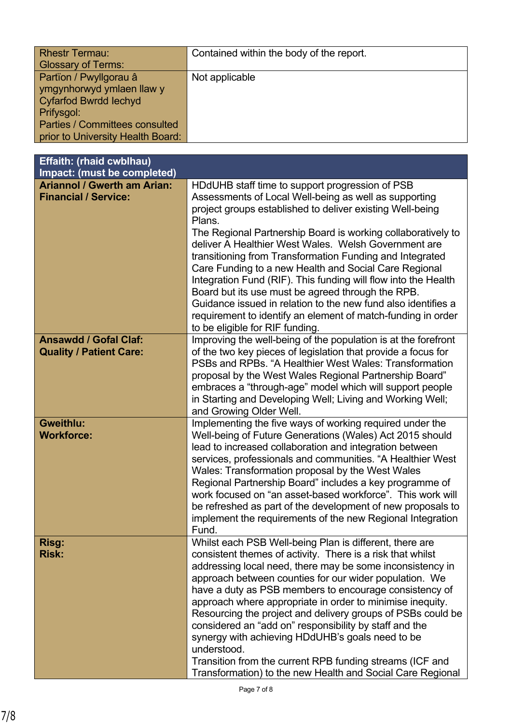| <b>Rhestr Termau:</b>             | Contained within the body of the report. |
|-----------------------------------|------------------------------------------|
| <b>Glossary of Terms:</b>         |                                          |
| Partïon / Pwyllgorau â            | Not applicable                           |
| ymgynhorwyd ymlaen llaw y         |                                          |
| Cyfarfod Bwrdd Iechyd             |                                          |
| Prifysgol:                        |                                          |
| Parties / Committees consulted    |                                          |
| prior to University Health Board: |                                          |

| Effaith: (rhaid cwblhau)                                          |                                                                                                                                                                                                                                                                                                                                                                                                                                                                                                                                                                                                                                                                                                                         |
|-------------------------------------------------------------------|-------------------------------------------------------------------------------------------------------------------------------------------------------------------------------------------------------------------------------------------------------------------------------------------------------------------------------------------------------------------------------------------------------------------------------------------------------------------------------------------------------------------------------------------------------------------------------------------------------------------------------------------------------------------------------------------------------------------------|
| Impact: (must be completed)                                       |                                                                                                                                                                                                                                                                                                                                                                                                                                                                                                                                                                                                                                                                                                                         |
| <b>Ariannol / Gwerth am Arian:</b><br><b>Financial / Service:</b> | HDdUHB staff time to support progression of PSB<br>Assessments of Local Well-being as well as supporting<br>project groups established to deliver existing Well-being<br>Plans.<br>The Regional Partnership Board is working collaboratively to<br>deliver A Healthier West Wales. Welsh Government are<br>transitioning from Transformation Funding and Integrated<br>Care Funding to a new Health and Social Care Regional<br>Integration Fund (RIF). This funding will flow into the Health<br>Board but its use must be agreed through the RPB.<br>Guidance issued in relation to the new fund also identifies a<br>requirement to identify an element of match-funding in order<br>to be eligible for RIF funding. |
| <b>Ansawdd / Gofal Claf:</b><br><b>Quality / Patient Care:</b>    | Improving the well-being of the population is at the forefront<br>of the two key pieces of legislation that provide a focus for<br>PSBs and RPBs. "A Healthier West Wales: Transformation<br>proposal by the West Wales Regional Partnership Board"<br>embraces a "through-age" model which will support people<br>in Starting and Developing Well; Living and Working Well;<br>and Growing Older Well.                                                                                                                                                                                                                                                                                                                 |
| <b>Gweithlu:</b><br><b>Workforce:</b>                             | Implementing the five ways of working required under the<br>Well-being of Future Generations (Wales) Act 2015 should<br>lead to increased collaboration and integration between<br>services, professionals and communities. "A Healthier West<br>Wales: Transformation proposal by the West Wales<br>Regional Partnership Board" includes a key programme of<br>work focused on "an asset-based workforce". This work will<br>be refreshed as part of the development of new proposals to<br>implement the requirements of the new Regional Integration<br>Fund.                                                                                                                                                        |
| <b>Risg:</b><br><b>Risk:</b>                                      | Whilst each PSB Well-being Plan is different, there are<br>consistent themes of activity. There is a risk that whilst<br>addressing local need, there may be some inconsistency in<br>approach between counties for our wider population. We<br>have a duty as PSB members to encourage consistency of<br>approach where appropriate in order to minimise inequity.<br>Resourcing the project and delivery groups of PSBs could be<br>considered an "add on" responsibility by staff and the<br>synergy with achieving HDdUHB's goals need to be<br>understood.<br>Transition from the current RPB funding streams (ICF and<br>Transformation) to the new Health and Social Care Regional                               |